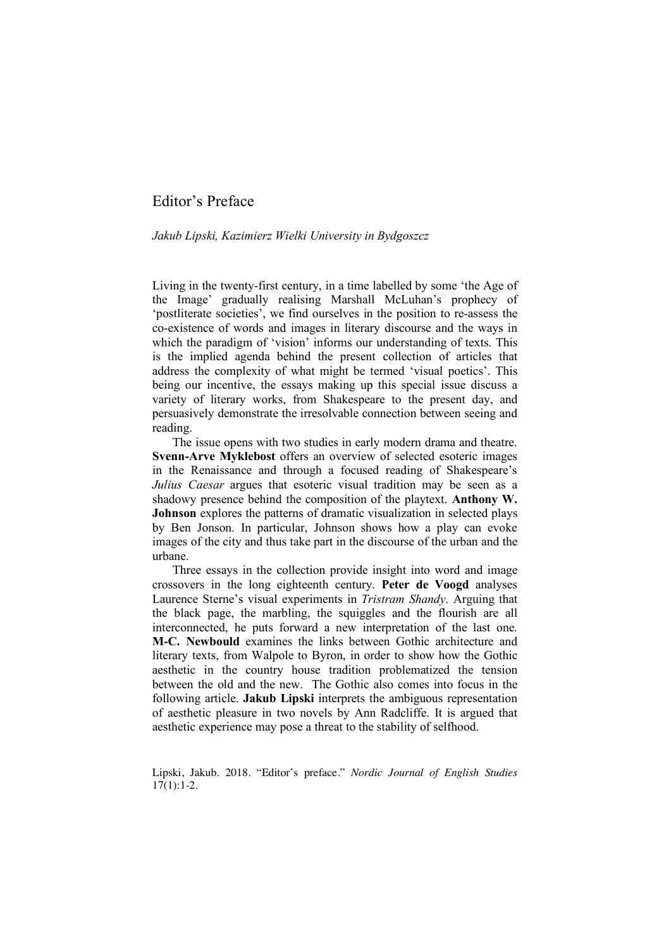## Editor's Preface

## *Jakub Lipski, Kazimierz Wielki University in Bydgoszcz*

Living in the twenty-first century, in a time labelled by some 'the Age of the Image' gradually realising Marshall McLuhan's prophecy of 'postliterate societies', we find ourselves in the position to re-assess the co-existence of words and images in literary discourse and the ways in which the paradigm of 'vision' informs our understanding of texts. This is the implied agenda behind the present collection of articles that address the complexity of what might be termed 'visual poetics'. This being our incentive, the essays making up this special issue discuss a variety of literary works, from Shakespeare to the present day, and persuasively demonstrate the irresolvable connection between seeing and reading.

The issue opens with two studies in early modern drama and theatre. **Svenn-Arve Myklebost** offers an overview of selected esoteric images in the Renaissance and through a focused reading of Shakespeare's *Julius Caesar* argues that esoteric visual tradition may be seen as a shadowy presence behind the composition of the playtext. **Anthony W. Johnson** explores the patterns of dramatic visualization in selected plays by Ben Jonson. In particular, Johnson shows how a play can evoke images of the city and thus take part in the discourse of the urban and the urbane.

Three essays in the collection provide insight into word and image crossovers in the long eighteenth century. **Peter de Voogd** analyses Laurence Sterne's visual experiments in *Tristram Shandy*. Arguing that the black page, the marbling, the squiggles and the flourish are all interconnected, he puts forward a new interpretation of the last one. **M-C. Newbould** examines the links between Gothic architecture and literary texts, from Walpole to Byron, in order to show how the Gothic aesthetic in the country house tradition problematized the tension between the old and the new. The Gothic also comes into focus in the following article. **Jakub Lipski** interprets the ambiguous representation of aesthetic pleasure in two novels by Ann Radcliffe. It is argued that aesthetic experience may pose a threat to the stability of selfhood.

Lipski, Jakub. 2018. "Editor's preface." *Nordic Journal of English Studies*  $17(1):1-2.$